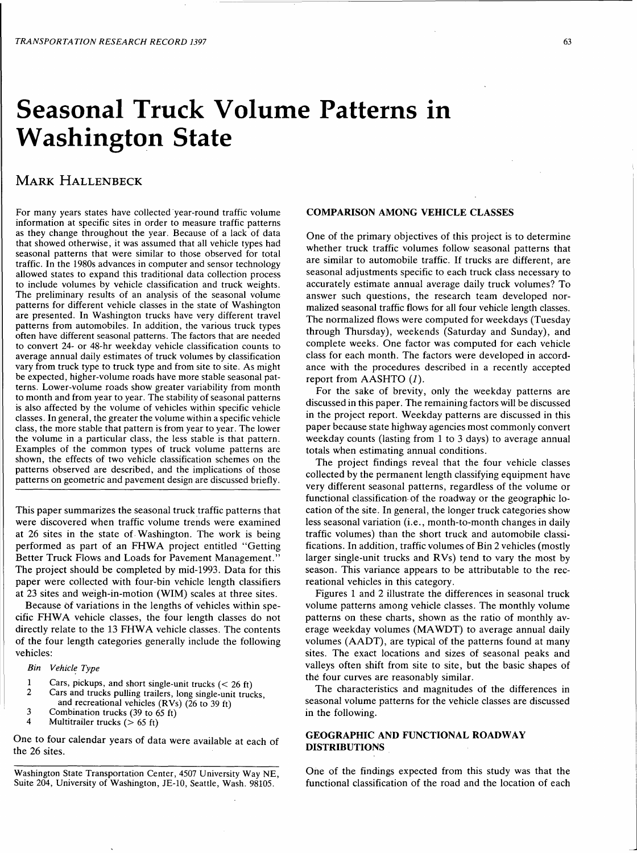# **Seasonal Truck Volume Patterns in Washington State**

## MARK HALLENBECK

For many years states have collected year-round traffic volume information at specific sites in order to measure traffic patterns as they change throughout the year. Because of a lack of data that showed otherwise, it was assumed that all vehicle types had seasonal patterns that were similar to those observed for total traffic. In the 1980s advances in computer and sensor technology allowed states to expand this traditional data collection process to include volumes by vehicle classification and truck weights. The preliminary results of an analysis of the seasonal volume patterns for different vehicle classes in the state of Washington are presented. In Washington trucks have very different travel patterns from automobiles. In addition, the various truck types often have different seasonal patterns. The factors that are needed to convert 24- or 48-hr weekday vehicle classification counts to average annual daily estimates of truck volumes by classification vary from truck type to truck type and from site to site. As might be expected, higher-volume roads have more stable seasonal patterns. Lower-volume roads show greater variability from month to month and from year to year. The stability of seasonal patterns is also affected by the volume of vehicles within specific vehicle classes. In general, the greater the volume within a specific vehicle class, the more stable that pattern is from year to year. The lower the volume in a particular class, the less stable is that pattern. Examples of the common types of truck volume patterns are shown, the effects of two vehicle classification schemes on the patterns observed are described, and the implications of those patterns on geometric and pavement design are discussed briefly.

This paper summarizes the seasonal truck traffic patterns that were discovered when traffic volume trends were examined at 26 sites in the state of- Washington. The work is being performed as part of an FHWA project entitled "Getting Better Truck Flows and Loads for Pavement Management." The project should be completed by mid-1993. Data for this paper were collected with four-bin vehicle length classifiers at 23 sites and weigh-in-motion (WIM) scales at three sites.

Because of variations in the lengths of vehicles within specific FHWA vehicle classes, the four length classes do not directly relate to the 13 FHWA vehicle classes. The contents of the four length categories generally include the following vehicles:

*Bin Vehicll! Type* 

- 1 Cars, pickups, and short single-unit trucks  $(< 26 \text{ ft})$ <br>2 Cars and trucks pulling trailers, long single-unit truc
- Cars and trucks pulling trailers, long single-unit trucks,
- and recreational vehicles (RVs) (26 to 39 ft)
- 3 Combination trucks (39 to 65 ft)<br>4 Multitrailer trucks ( $> 65$  ft)
- Multitrailer trucks ( $> 65$  ft)

One to four calendar years of data were available at each of the 26 sites.

Washington State Transportation Center, 4507 University Way NE, Suite 204, University of Washington, JE-10, Seattle, Wash. 98105.

## COMPARISON AMONG VEHICLE CLASSES

One of the primary objectives of this project is to determine whether truck traffic volumes follow seasonal patterns that are similar to automobile traffic. If trucks are different, are seasonal adjustments specific to each truck class necessary to accurately estimate annual average daily truck volumes? To answer such questions, the research team developed normalized seasonal traffic flows for all four vehicle length classes. The normalized flows were computed for weekdays (Tuesday through Thursday), weekends (Saturday and Sunday), and complete weeks. One factor was computed for each vehicle class for each month. The factors were developed in accordance with the procedures described in a recently accepted report from AASHTO (1).

For the sake of brevity, only the weekday patterns are discussed in this paper. The remaining factors will be discussed in the project report. Weekday patterns are discussed in this paper because state highway agencies most commonly convert weekday counts (lasting from 1 to 3 days) to average annual totals when estimating annual conditions.

The project findings reveal that the four vehicle classes collected by the permanent length classifying equipment have very different seasonal patterns, regardless of the volume or functional classification of the roadway or the geographic location of the site. In general, the longer truck categories show less seasonal variation (i.e., month-to-month changes in daily traffic volumes) than the short truck and automobile classifications. In addition, traffic volumes of Bin 2 vehicles (mostly larger single-unit trucks and RVs) tend to vary the most by season. This variance appears to be attributable to the recreational vehicles in this category.

Figures 1 and 2 illustrate the differences in seasonal truck volume patterns among vehicle classes. The monthly volume patterns on these charts, shown as the ratio of monthly average weekday volumes (MA WDT) to average annual daily volumes (AADT), are typical of the patterns found at many sites. The exact locations and sizes of seasonal peaks and valleys often shift from site to site, but the basic shapes of the four curves are reasonably similar.

The characteristics and magnitudes of the differences in seasonal volume patterns for the vehicle classes are discussed in the following.

## GEOGRAPHIC AND FUNCTIONAL ROADWAY DISTRIBUTIONS

One of the findings expected from this study was that the functional classification of the road and the location of each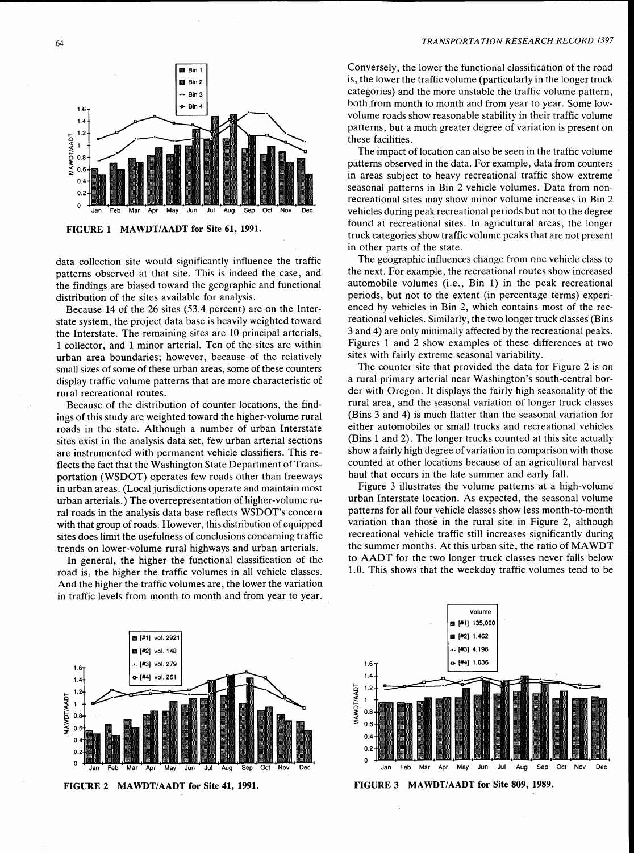### *TRANSPORTATION RESEARCH RECORD 1397*



FIGURE 1 MAWDT/AADT for Site 61, 1991.

data collection site would significantly influence the traffic patterns observed at that site. This is indeed the case, and the findings are biased toward the geographic and functional distribution of the sites available for analysis.

Because 14 of the 26 sites (53.4 percent) are on the Interstate system, the project data base is heavily weighted toward the Interstate. The remaining sites are 10 principal arterials, 1 collector, and 1 minor arterial. Ten of the sites are within urban area boundaries; however, because of the relatively small sizes of some of these urban areas, some of these counters display traffic volume patterns that are more characteristic of rural recreational routes.

Because of the distribution of counter locations, the findings of this study are weighted toward the higher-volume rural roads in the state. Although a number of urban Interstate sites exist in the analysis data set, few urban arterial sections are instrumented with permanent vehicle classifiers. This reflects the fact that the Washington State Department of Transportation (WSDOT) operates few roads other than freeways in urban areas. (Local jurisdictions operate and maintain most urban arterials.) The overrepresentation of higher-volume rural roads in the analysis data base reflects WSDOT's concern with that group of roads. However, this distribution of equipped sites does limit the usefulness of conclusions concerning traffic trends on lower-volume rural highways and urban arterials.

In general, the higher the functional classification of the road is, the higher the traffic volumes in all vehicle classes. And the higher the traffic volumes are, the lower the variation in traffic levels from month to month and from year to year.

Conversely, the lower the functional classification of the road is, the lower the traffic volume (particularly in the longer truck categories) and the more unstable the traffic volume pattern, both from month to month and from year to year. Some lowvolume roads show reasonable stability in their traffic volume patterns, but a much greater degree of variation is present on these facilities.

The impact of location can also be seen in the traffic volume patterns observed in the data. For example, data from counters in areas subject to heavy recreational traffic show extreme seasonal patterns in Bin 2 vehicle volumes. Data from nonrecreational sites may show minor volume increases in Bin 2 vehicles during peak recreational periods but not to the degree found at recreational sites. In agricultural areas, the longer truck categories show traffic volume peaks that are not present in other parts of the state.

The geographic influences change from one vehicle class to the next. For example, the recreational routes show increased automobile volumes (i.e., Bin 1) in the peak recreational periods, but not to the extent (in percentage terms) experienced by vehicles in Bin 2, which contains most of the recreational vehicles. Similarly, the two longer truck classes (Bins 3 and 4) are only minimally affected by the recreational peaks. Figures 1 and 2 show examples of these differences at two sites with fairly extreme seasonal variability.

The counter site that provided the data for Figure 2 is on a rural primary arterial near Washington's south-central border with Oregon. It displays the fairly high seasonality of the rural area, and the seasonal variation of longer truck classes (Bins 3 and 4) is much flatter than the seasonal variation for either automobiles or small trucks and recreational vehicles (Bins 1 and 2). The longer trucks counted at this site actually show a fairly high degree of variation in comparison with those counted at other locations because of an agricultural harvest haul that occurs in the late summer and early fall.

Figure 3 illustrates the volume patterns at a high-volume urban Interstate location. As expected, the seasonal volume patterns for all four vehicle classes show less month-to-month variation than those in the rural site in Figure 2, although recreational vehicle traffic still increases significantly during the summer months. At this urban site, the ratio of MAWDT to AADT for the two longer truck classes never falls below 1.0. This. shows that the weekday traffic volumes tend to be







FIGURE 3 MAWDT/AADT for Site 809, 1989.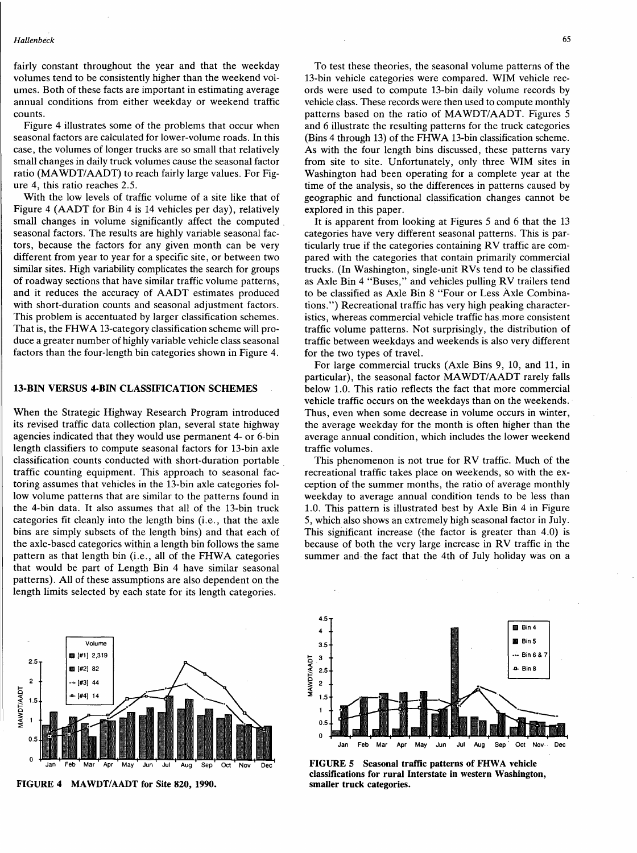fairly constant throughout the year and that the weekday volumes tend to be consistently higher than the weekend volumes. Both of these facts are important in estimating average annual conditions from either weekday or weekend traffic counts.

Figure 4 illustrates some of the problems that occur when seasonal factors are calculated for lower-volume roads. In this case, the volumes of longer trucks are so small that relatively small changes in daily truck volumes cause the seasonal factor ratio (MA WDT/AADT) to reach fairly large values. For Figure 4, this ratio reaches 2.5.

With the low levels of traffic volume of a site like that of Figure 4 (AADT for Bin 4 is 14 vehicles per day), relatively small changes in volume significantly affect the computed seasonal factors. The results are highly variable seasonal factors, because the factors for any given month can be very different from year to year for a specific site, or between two similar sites. High variability complicates the search for groups of roadway sections that have similar traffic volume patterns, and it reduces the accuracy of AADT estimates produced with short-duration counts and seasonal adjustment factors. This problem is accentuated by larger classification schemes. That is, the FHW A 13-category classification scheme will produce a greater number of highly variable vehicle class seasonal factors than the four-length bin categories shown in Figure 4.

## 13-BIN VERSUS 4-BIN CLASSIFICATION SCHEMES

When the Strategic Highway Research Program introduced its revised traffic data collection plan, several state highway agencies indicated that they would use permanent 4- or 6-bin length classifiers to compute seasonal factors for 13-bin axle classification counts conducted with short-duration portable . traffic counting equipment. This approach to seasonal factoring assumes that vehicles in the 13-bin axle categories follow volume patterns that are similar to the patterns found in the 4-bin data. It also assumes that all of the 13-bin truck categories fit cleanly into the length bins (i.e., that the axle bins are simply subsets of the length bins) and that each of the axle-based categories within a length bin follows the same pattern as that length bin (i.e., all of the FHWA categories that would be part of Length Bin 4 have similar seasonal patterns). All of these assumptions are also dependent on the length limits selected by each state for its length categories.



FIGURE 4 MAWDT/AADT for Site 820, 1990.

To test these theories, the seasonal volume patterns of the 13-bin vehicle categories were compared. WIM vehicle records were used to compute 13-bin daily volume records by vehicle class. These records were then used to compute monthly patterns based on the ratio of MAWDT/AADT. Figures 5 and 6 illustrate the resulting patterns for the truck categories (Bins 4 through 13) of the FHWA 13-bin classification scheme. As with the four length bins discussed, these patterns vary from site to site. Unfortunately, only three WIM sites in Washington had been operating for a complete year at the time of the analysis, so the differences in patterns caused by geographic and functional classification changes cannot be explored in this paper.

It is apparent from looking at Figures 5 and 6 that the 13 categories have very different seasonal patterns. This is particularly true if the categories containing RV traffic are compared with the categories that contain primarily commercial trucks. (In Washington, single-unit RVs tend to be classified as Axle Bin 4 "Buses," and vehicles pulling RV trailers tend to be classified as Axle Bin 8 "Four or Less Axle Combinations.") Recreational traffic has very high peaking characteristics, whereas commercial vehicle traffic has more consistent traffic volume patterns. Not surprisingly, the distribution of traffic between weekdays and weekends is also very different for the two types of travel.

For large commercial trucks (Axle Bins 9, 10, and 11, in particular), the seasonal factor MAWDT/AADT rarely falls below 1.0. This ratio reflects the fact that more commercial vehicle traffic occurs on the weekdays than on the weekends. · Thus, even when some decrease in volume occurs in winter, the average weekday for the month is often higher than the average annual condition, which includes the lower weekend traffic volumes.

This phenomenon is not true for RV traffic. Much of the recreational traffic takes place on weekends, so with the exception of the summer months, the ratio of average monthly weekday to average annual condition tends to be less than 1.0. This pattern is illustrated best by Axle Bin 4 in Figure 5, which also shows an extremely high seasonal factor in July. This significant increase (the factor is greater than  $4.0$ ) is because of both the very large increase in RV traffic in the summer and· the fact that the 4th of July holiday was on a



FIGURE 5 Seasonal traffic patterns of FHWA vehicle classifications for rural Interstate in western Washington, smaller truck categories.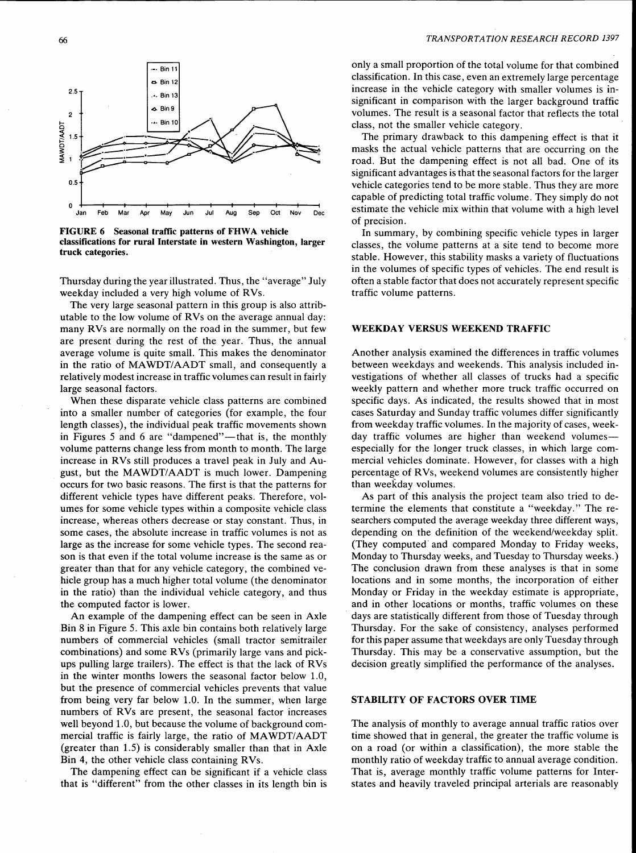## $-$ · Bin 11 a. Bin 12  $2.5$  $\therefore$  Bin 13  $\triangle$  Bin 9  $\overline{c}$ Bin 10 **MANDT/AADT**  $1.5$  $\mathbf{1}$ 0.5  $\mathbf 0$ Jan Feb Mar Apr May Jun Jul Aug Sep Oct Nov Dec

FIGURE 6 Seasonal traffic patterns of FHWA vehicle classifications for rural Interstate in western Washington, larger truck categories.

Thursday during the year illustrated. Thus, the "average" July weekday included a very high volume of RVs.

The very large seasonal pattern in this group is also attributable to the low volume of RVs on the average annual day: many RVs are normally on the road in the summer, but few are present during the rest of the year. Thus, the annual average volume is quite small. This makes the denominator in the ratio of MAWDT/AADT small, and consequently a relatively modest increase in traffic volumes can result in fairly large seasonal factors.

When these disparate vehicle class patterns are combined into a smaller number of categories (for example, the four length classes), the individual peak traffic movements shown in Figures 5 and 6 are "dampened"—that is, the monthly volume patterns change less from month to month. The large increase in RVs still produces a travel peak in July and August, but the MAWDT/AADT is much lower. Dampening occurs for two basic reasons. The first is that the patterns for different vehicle types have different peaks. Therefore, volumes for some vehicle types within a composite vehicle class increase, whereas others decrease or stay constant. Thus, in some cases, the absolute increase in traffic volumes is not as large as the increase for some vehicle types. The second reason is that even if the total volume increase is the same as or greater than that for any vehicle category, the combined vehicle group has a much higher total volume (the denominator in the ratio) than the individual vehicle category, and thus the computed factor is lower.

An example of the dampening effect can be seen in Axle Bin 8 in Figure 5. This axle bin contains both relatively large numbers of commercial vehicles (small tractor semitrailer combinations) and some RVs (primarily large vans and pickups pulling large trailers). The effect is that the lack of RVs in the winter months lowers the seasonal factor below 1.0, but the presence of commercial vehicles prevents that value from being very far below 1.0. In the summer, when large numbers of RVs are present, the seasonal factor increases well beyond 1.0, but because the volume of background commercial traffic is fairly large, the ratio of MAWDT/AADT (greater than 1.5) is considerably smaller than that in Axle Bin 4, the other vehicle class containing RVs.

The dampening effect can be significant if a vehicle class that is "different" from the other classes in its length bin is

#### *TRANSPORTATION RESEARCH RECORD 1397*

only a small proportion of the total volume for that combined classification. In this case, even an extremely large percentage increase in the vehicle category with smaller volumes is insignificant in comparison with the larger background traffic volumes. The result is a seasonal factor that reflects the total class, not the smaller vehicle category.

The primary drawback to this dampening effect is that it masks the actual vehicle patterns that are occurring on the road. But the dampening effect is not all bad. One of its significant advantages is that the seasonal factors for the larger vehicle categories tend to be more stable. Thus they are more capable of predicting total traffic volume. They simply do not estimate the vehicle mix within that volume with a high level of precision.

In summary, by combining specific vehicle types in larger classes, the volume patterns at a site tend to become more stable. However, this stability masks a variety of fluctuations in the volumes of specific types of vehicles. The end result is often a stable factor that does not accurately represent specific traffic volume patterns.

## WEEKDAY VERSUS WEEKEND TRAFFIC

Another analysis examined the differences in traffic volumes between weekdays and weekends. This analysis included investigations of whether all classes of trucks had a specific weekly pattern and whether more truck traffic occurred on specific days. As indicated, the results showed that in most cases Saturday and Sunday traffic volumes differ significantly from weekday traffic volumes. In the majority of cases, weekday traffic volumes are higher than weekend volumesespecially for the longer truck classes, in which large commercial vehicles dominate. However, for classes with a high percentage of RVs, weekend volumes are consistently higher than weekday volumes.

As part of this analysis the project team also tried to determine the elements that constitute a "weekday." The researchers computed the average weekday three different ways, depending on the definition of the weekend/weekday split. (They computed· and compared Monday to Friday weeks, Monday to Thursday weeks, and Tuesday to Thursday weeks.) The conclusion drawn from these analyses is that in some locations and in some months, the incorporation of either Monday or Friday in the weekday estimate is appropriate, and in other locations or months, traffic volumes on these days are statistically different from those of Tuesday through Thursday. For the sake of consistency, analyses performed for this paper assume that weekdays are only Tuesday through Thursday. This may be a conservative assumption, but the decision greatly simplified the performance of the analyses.

#### STABILITY OF FACTORS OVER TIME

The analysis of monthly to average annual traffic ratios over time showed that in general, the greater the traffic volume is on a road (or within a classification), the more stable the monthly ratio of weekday traffic to annual average condition. That is, average monthly traffic volume patterns for Interstates and heavily traveled principal arterials are reasonably